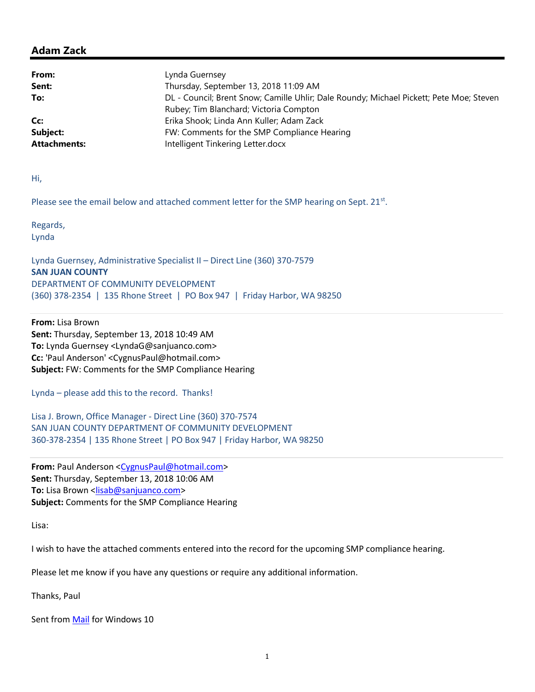## Adam Zack

| From:               | Lynda Guernsey                                                                          |
|---------------------|-----------------------------------------------------------------------------------------|
| Sent:               | Thursday, September 13, 2018 11:09 AM                                                   |
| To:                 | DL - Council; Brent Snow; Camille Uhlir; Dale Roundy; Michael Pickett; Pete Moe; Steven |
|                     | Rubey; Tim Blanchard; Victoria Compton                                                  |
| Cc:                 | Erika Shook; Linda Ann Kuller; Adam Zack                                                |
| Subject:            | FW: Comments for the SMP Compliance Hearing                                             |
| <b>Attachments:</b> | Intelligent Tinkering Letter.docx                                                       |

Hi,

Please see the email below and attached comment letter for the SMP hearing on Sept. 21<sup>st</sup>.

Regards, Lynda

Lynda Guernsey, Administrative Specialist II – Direct Line (360) 370-7579 SAN JUAN COUNTY DEPARTMENT OF COMMUNITY DEVELOPMENT (360) 378-2354 | 135 Rhone Street | PO Box 947 | Friday Harbor, WA 98250

From: Lisa Brown Sent: Thursday, September 13, 2018 10:49 AM To: Lynda Guernsey <LyndaG@sanjuanco.com> Cc: 'Paul Anderson' <CygnusPaul@hotmail.com> Subject: FW: Comments for the SMP Compliance Hearing

Lynda – please add this to the record. Thanks!

Lisa J. Brown, Office Manager - Direct Line (360) 370-7574 SAN JUAN COUNTY DEPARTMENT OF COMMUNITY DEVELOPMENT 360-378-2354 | 135 Rhone Street | PO Box 947 | Friday Harbor, WA 98250

From: Paul Anderson <CygnusPaul@hotmail.com> Sent: Thursday, September 13, 2018 10:06 AM To: Lisa Brown <lisab@sanjuanco.com> Subject: Comments for the SMP Compliance Hearing

Lisa:

I wish to have the attached comments entered into the record for the upcoming SMP compliance hearing.

Please let me know if you have any questions or require any additional information.

Thanks, Paul

Sent from Mail for Windows 10